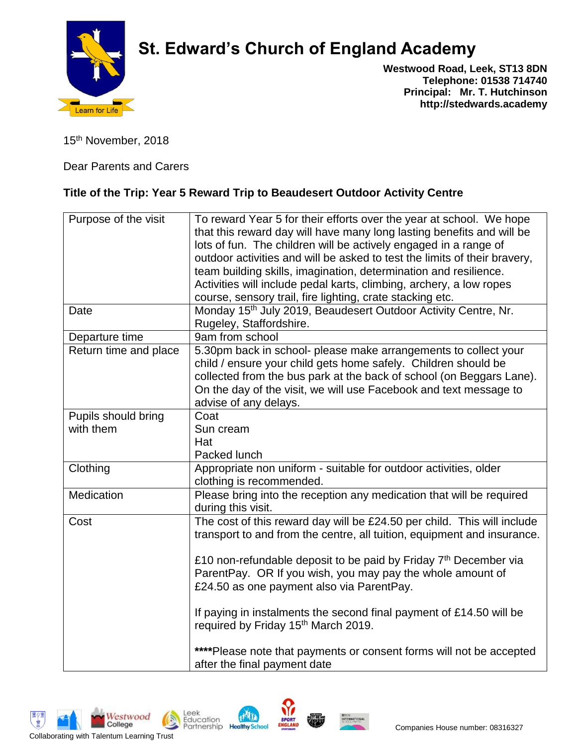

## **St. Edward's Church of England Academy**

**Westwood Road, Leek, ST13 8DN Telephone: 01538 714740 Principal: Mr. T. Hutchinson http://stedwards.academy**

15th November, 2018

Dear Parents and Carers

## **Title of the Trip: Year 5 Reward Trip to Beaudesert Outdoor Activity Centre**

| Purpose of the visit  | To reward Year 5 for their efforts over the year at school. We hope<br>that this reward day will have many long lasting benefits and will be<br>lots of fun. The children will be actively engaged in a range of<br>outdoor activities and will be asked to test the limits of their bravery,<br>team building skills, imagination, determination and resilience.<br>Activities will include pedal karts, climbing, archery, a low ropes<br>course, sensory trail, fire lighting, crate stacking etc. |
|-----------------------|-------------------------------------------------------------------------------------------------------------------------------------------------------------------------------------------------------------------------------------------------------------------------------------------------------------------------------------------------------------------------------------------------------------------------------------------------------------------------------------------------------|
| Date                  | Monday 15 <sup>th</sup> July 2019, Beaudesert Outdoor Activity Centre, Nr.<br>Rugeley, Staffordshire.                                                                                                                                                                                                                                                                                                                                                                                                 |
| Departure time        | 9am from school                                                                                                                                                                                                                                                                                                                                                                                                                                                                                       |
| Return time and place | 5.30pm back in school- please make arrangements to collect your<br>child / ensure your child gets home safely. Children should be<br>collected from the bus park at the back of school (on Beggars Lane).<br>On the day of the visit, we will use Facebook and text message to<br>advise of any delays.                                                                                                                                                                                               |
| Pupils should bring   | Coat                                                                                                                                                                                                                                                                                                                                                                                                                                                                                                  |
| with them             | Sun cream                                                                                                                                                                                                                                                                                                                                                                                                                                                                                             |
|                       | Hat                                                                                                                                                                                                                                                                                                                                                                                                                                                                                                   |
|                       | Packed lunch                                                                                                                                                                                                                                                                                                                                                                                                                                                                                          |
| Clothing              | Appropriate non uniform - suitable for outdoor activities, older<br>clothing is recommended.                                                                                                                                                                                                                                                                                                                                                                                                          |
| <b>Medication</b>     | Please bring into the reception any medication that will be required<br>during this visit.                                                                                                                                                                                                                                                                                                                                                                                                            |
| Cost                  | The cost of this reward day will be £24.50 per child. This will include<br>transport to and from the centre, all tuition, equipment and insurance.                                                                                                                                                                                                                                                                                                                                                    |
|                       | £10 non-refundable deposit to be paid by Friday $7th$ December via<br>ParentPay. OR If you wish, you may pay the whole amount of<br>£24.50 as one payment also via ParentPay.                                                                                                                                                                                                                                                                                                                         |
|                       | If paying in instalments the second final payment of £14.50 will be<br>required by Friday 15th March 2019.                                                                                                                                                                                                                                                                                                                                                                                            |
|                       | ****Please note that payments or consent forms will not be accepted<br>after the final payment date                                                                                                                                                                                                                                                                                                                                                                                                   |

Westwood

Leek<br>Education

in.